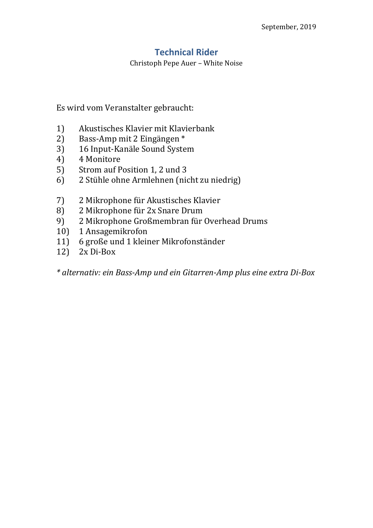## **Technical Rider**

Christoph Pepe Auer – White Noise

Es wird vom Veranstalter gebraucht:

- 1) Akustisches Klavier mit Klavierbank
- 2) Bass-Amp mit 2 Eingängen \*
- 3) 16 Input-Kanäle Sound System
- 4) 4 Monitore
- 5) Strom auf Position 1, 2 und 3
- 6) 2 Stühle ohne Armlehnen (nicht zu niedrig)
- 7) 2 Mikrophone für Akustisches Klavier
- 8) 2 Mikrophone für 2x Snare Drum
- 9) 2 Mikrophone Großmembran für Overhead Drums
- 10) 1 Ansagemikrofon
- 11) 6 große und 1 kleiner Mikrofonständer
- 12) 2x Di-Box

*\* alternativ: ein Bass-Amp und ein Gitarren-Amp plus eine extra Di-Box*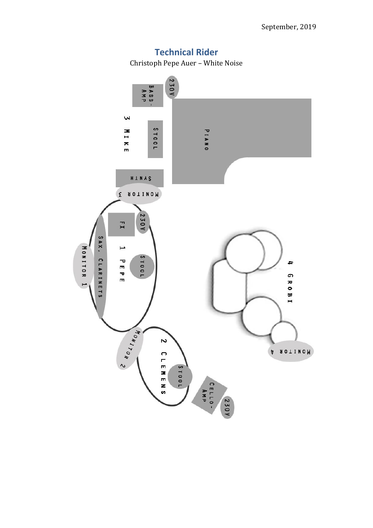

## **Technical Rider**

Christoph Pepe Auer – White Noise